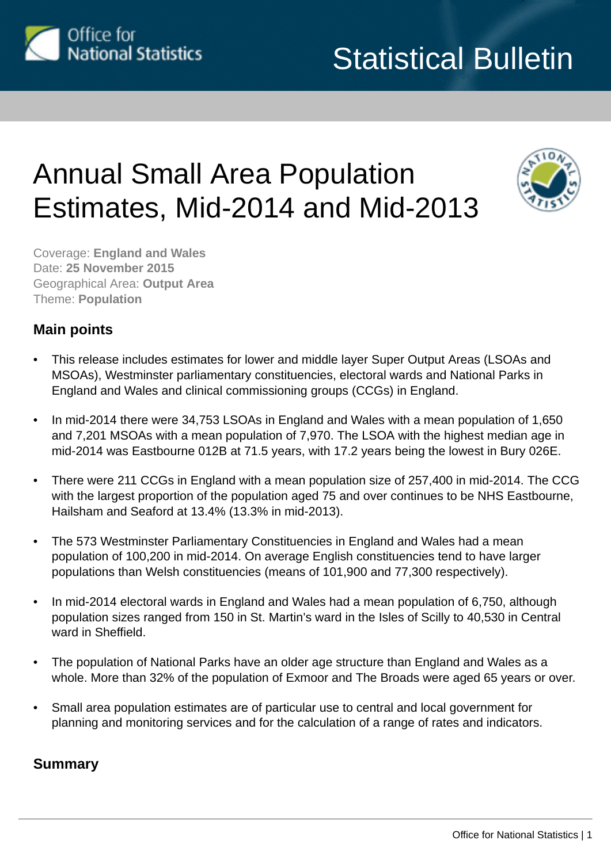

# Annual Small Area Population Estimates, Mid-2014 and Mid-2013



Coverage: **England and Wales** Date: **25 November 2015** Geographical Area: **Output Area** Theme: **Population**

## **Main points**

- This release includes estimates for lower and middle layer Super Output Areas (LSOAs and MSOAs), Westminster parliamentary constituencies, electoral wards and National Parks in England and Wales and clinical commissioning groups (CCGs) in England.
- In mid-2014 there were 34,753 LSOAs in England and Wales with a mean population of 1,650 and 7,201 MSOAs with a mean population of 7,970. The LSOA with the highest median age in mid-2014 was Eastbourne 012B at 71.5 years, with 17.2 years being the lowest in Bury 026E.
- There were 211 CCGs in England with a mean population size of 257,400 in mid-2014. The CCG with the largest proportion of the population aged 75 and over continues to be NHS Eastbourne, Hailsham and Seaford at 13.4% (13.3% in mid-2013).
- The 573 Westminster Parliamentary Constituencies in England and Wales had a mean population of 100,200 in mid-2014. On average English constituencies tend to have larger populations than Welsh constituencies (means of 101,900 and 77,300 respectively).
- In mid-2014 electoral wards in England and Wales had a mean population of 6,750, although population sizes ranged from 150 in St. Martin's ward in the Isles of Scilly to 40,530 in Central ward in Sheffield.
- The population of National Parks have an older age structure than England and Wales as a whole. More than 32% of the population of Exmoor and The Broads were aged 65 years or over.
- Small area population estimates are of particular use to central and local government for planning and monitoring services and for the calculation of a range of rates and indicators.

## **Summary**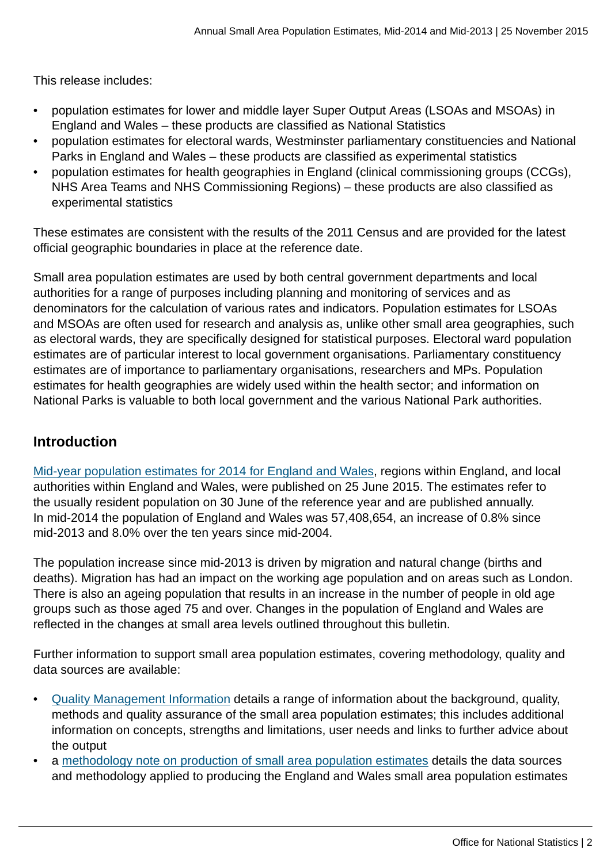This release includes:

- population estimates for lower and middle layer Super Output Areas (LSOAs and MSOAs) in England and Wales – these products are classified as National Statistics
- population estimates for electoral wards, Westminster parliamentary constituencies and National Parks in England and Wales – these products are classified as experimental statistics
- population estimates for health geographies in England (clinical commissioning groups (CCGs), NHS Area Teams and NHS Commissioning Regions) – these products are also classified as experimental statistics

These estimates are consistent with the results of the 2011 Census and are provided for the latest official geographic boundaries in place at the reference date.

Small area population estimates are used by both central government departments and local authorities for a range of purposes including planning and monitoring of services and as denominators for the calculation of various rates and indicators. Population estimates for LSOAs and MSOAs are often used for research and analysis as, unlike other small area geographies, such as electoral wards, they are specifically designed for statistical purposes. Electoral ward population estimates are of particular interest to local government organisations. Parliamentary constituency estimates are of importance to parliamentary organisations, researchers and MPs. Population estimates for health geographies are widely used within the health sector; and information on National Parks is valuable to both local government and the various National Park authorities.

## **Introduction**

[Mid-year population estimates for 2014 for England and Wales,](http://www.ons.gov.uk:80/ons/rel/pop-estimate/population-estimates-for-uk--england-and-wales--scotland-and-northern-ireland/mid-2014/index.html) regions within England, and local authorities within England and Wales, were published on 25 June 2015. The estimates refer to the usually resident population on 30 June of the reference year and are published annually. In mid-2014 the population of England and Wales was 57,408,654, an increase of 0.8% since mid-2013 and 8.0% over the ten years since mid-2004.

The population increase since mid-2013 is driven by migration and natural change (births and deaths). Migration has had an impact on the working age population and on areas such as London. There is also an ageing population that results in an increase in the number of people in old age groups such as those aged 75 and over. Changes in the population of England and Wales are reflected in the changes at small area levels outlined throughout this bulletin.

Further information to support small area population estimates, covering methodology, quality and data sources are available:

- [Quality Management Information](http://www.ons.gov.uk:80/ons/guide-method/method-quality/quality/quality-information/population/index.html) details a range of information about the background, quality, methods and quality assurance of the small area population estimates; this includes additional information on concepts, strengths and limitations, user needs and links to further advice about the output
- a [methodology note on production of small area population estimates](http://www.ons.gov.uk:80/ons/guide-method/method-quality/specific/population-and-migration/pop-ests/index.html) details the data sources and methodology applied to producing the England and Wales small area population estimates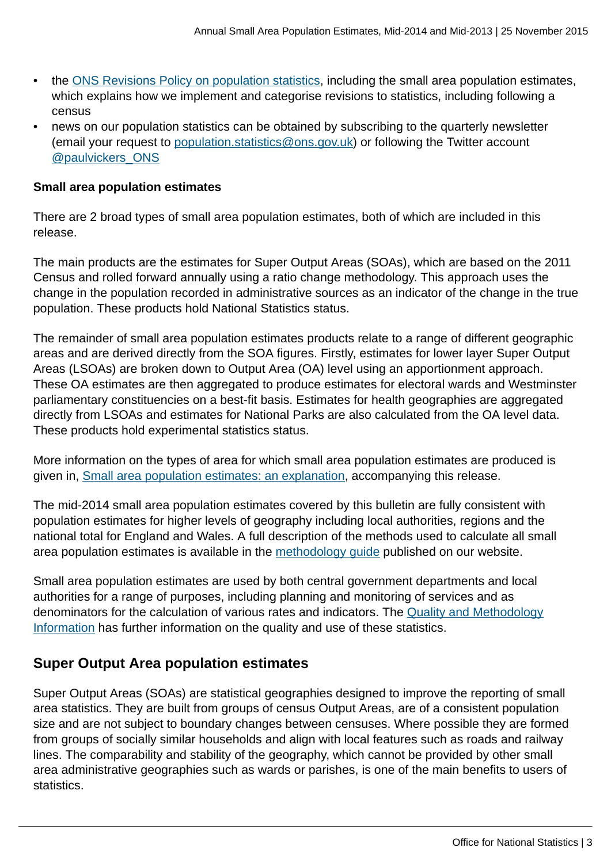- the [ONS Revisions Policy on population statistics,](http://www.ons.gov.uk:80/ons/guide-method/revisions/revisions-policies-by-theme/population/index.html) including the small area population estimates, which explains how we implement and categorise revisions to statistics, including following a census
- news on our population statistics can be obtained by subscribing to the quarterly newsletter (email your request to [population.statistics@ons.gov.uk\)](mailto:population.statistics@ons.gov.uk) or following the Twitter account [@paulvickers\\_ONS](https://twitter.com/paulvickers_ons)

#### **Small area population estimates**

There are 2 broad types of small area population estimates, both of which are included in this release.

The main products are the estimates for Super Output Areas (SOAs), which are based on the 2011 Census and rolled forward annually using a ratio change methodology. This approach uses the change in the population recorded in administrative sources as an indicator of the change in the true population. These products hold National Statistics status.

The remainder of small area population estimates products relate to a range of different geographic areas and are derived directly from the SOA figures. Firstly, estimates for lower layer Super Output Areas (LSOAs) are broken down to Output Area (OA) level using an apportionment approach. These OA estimates are then aggregated to produce estimates for electoral wards and Westminster parliamentary constituencies on a best-fit basis. Estimates for health geographies are aggregated directly from LSOAs and estimates for National Parks are also calculated from the OA level data. These products hold experimental statistics status.

More information on the types of area for which small area population estimates are produced is given in, [Small area population estimates: an explanation,](http://www.ons.gov.uk:80/ons/rel/sape/small-area-population-estimates/mid-2014-and-mid-2013/sty-sape-2013-2014.html) accompanying this release.

The mid-2014 small area population estimates covered by this bulletin are fully consistent with population estimates for higher levels of geography including local authorities, regions and the national total for England and Wales. A full description of the methods used to calculate all small area population estimates is available in the [methodology guide](http://www.ons.gov.uk:80/ons/guide-method/method-quality/specific/population-and-migration/pop-ests/index.html) published on our website.

Small area population estimates are used by both central government departments and local authorities for a range of purposes, including planning and monitoring of services and as denominators for the calculation of various rates and indicators. The [Quality and Methodology](http://www.ons.gov.uk:80/ons/guide-method/method-quality/quality/quality-information/population/index.html) [Information](http://www.ons.gov.uk:80/ons/guide-method/method-quality/quality/quality-information/population/index.html) has further information on the quality and use of these statistics.

## **Super Output Area population estimates**

Super Output Areas (SOAs) are statistical geographies designed to improve the reporting of small area statistics. They are built from groups of census Output Areas, are of a consistent population size and are not subject to boundary changes between censuses. Where possible they are formed from groups of socially similar households and align with local features such as roads and railway lines. The comparability and stability of the geography, which cannot be provided by other small area administrative geographies such as wards or parishes, is one of the main benefits to users of statistics.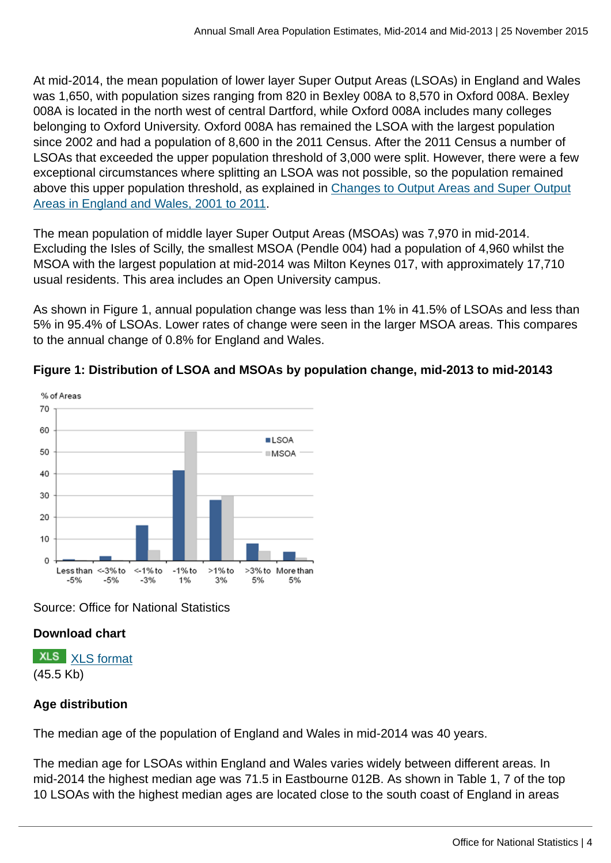At mid-2014, the mean population of lower layer Super Output Areas (LSOAs) in England and Wales was 1,650, with population sizes ranging from 820 in Bexley 008A to 8,570 in Oxford 008A. Bexley 008A is located in the north west of central Dartford, while Oxford 008A includes many colleges belonging to Oxford University. Oxford 008A has remained the LSOA with the largest population since 2002 and had a population of 8,600 in the 2011 Census. After the 2011 Census a number of LSOAs that exceeded the upper population threshold of 3,000 were split. However, there were a few exceptional circumstances where splitting an LSOA was not possible, so the population remained above this upper population threshold, as explained in [Changes to Output Areas and Super Output](http://www.ons.gov.uk:80/ons/external-links/other/changes-to-output-areas-and-super-output-areas-in-england-and-wales--2001-to-2011.html) [Areas in England and Wales, 2001 to 2011](http://www.ons.gov.uk:80/ons/external-links/other/changes-to-output-areas-and-super-output-areas-in-england-and-wales--2001-to-2011.html).

The mean population of middle layer Super Output Areas (MSOAs) was 7,970 in mid-2014. Excluding the Isles of Scilly, the smallest MSOA (Pendle 004) had a population of 4,960 whilst the MSOA with the largest population at mid-2014 was Milton Keynes 017, with approximately 17,710 usual residents. This area includes an Open University campus.

As shown in Figure 1, annual population change was less than 1% in 41.5% of LSOAs and less than 5% in 95.4% of LSOAs. Lower rates of change were seen in the larger MSOA areas. This compares to the annual change of 0.8% for England and Wales.



#### **Figure 1: Distribution of LSOA and MSOAs by population change, mid-2013 to mid-20143**

Source: Office for National Statistics

## **Download chart**

**XLS** [XLS format](http://www.ons.gov.uk:80/ons/rel/sape/small-area-population-estimates/mid-2014-and-mid-2013/chd-figure-1.xls) (45.5 Kb)

## **Age distribution**

The median age of the population of England and Wales in mid-2014 was 40 years.

The median age for LSOAs within England and Wales varies widely between different areas. In mid-2014 the highest median age was 71.5 in Eastbourne 012B. As shown in Table 1, 7 of the top 10 LSOAs with the highest median ages are located close to the south coast of England in areas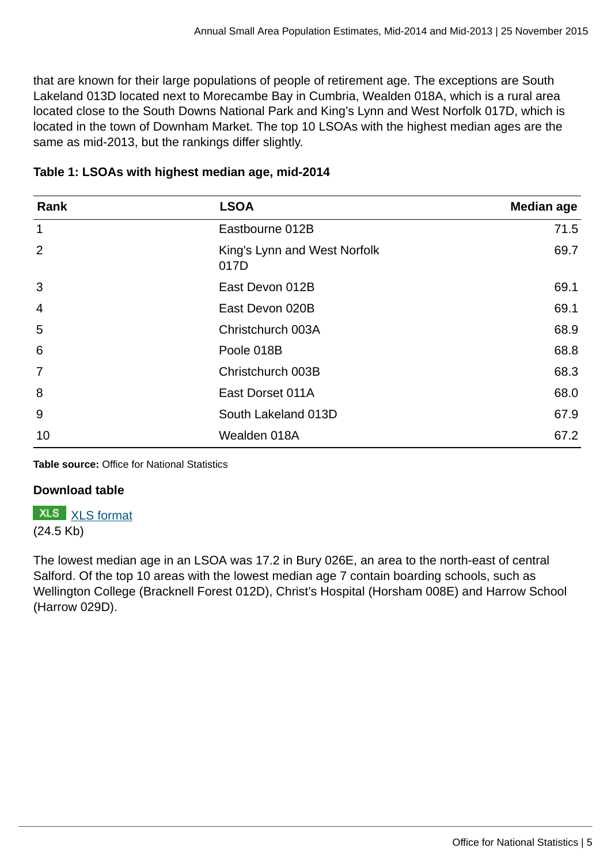that are known for their large populations of people of retirement age. The exceptions are South Lakeland 013D located next to Morecambe Bay in Cumbria, Wealden 018A, which is a rural area located close to the South Downs National Park and King's Lynn and West Norfolk 017D, which is located in the town of Downham Market. The top 10 LSOAs with the highest median ages are the same as mid-2013, but the rankings differ slightly.

| Rank            | <b>LSOA</b>                          | <b>Median age</b> |  |
|-----------------|--------------------------------------|-------------------|--|
| $\mathbf{1}$    | Eastbourne 012B                      | 71.5              |  |
| 2               | King's Lynn and West Norfolk<br>017D | 69.7              |  |
| 3               | East Devon 012B                      | 69.1              |  |
| $\overline{4}$  | East Devon 020B                      | 69.1              |  |
| 5               | Christchurch 003A                    | 68.9              |  |
| $6\phantom{1}6$ | Poole 018B                           | 68.8              |  |
| $\overline{7}$  | Christchurch 003B                    | 68.3              |  |
| 8               | East Dorset 011A                     | 68.0              |  |
| 9               | South Lakeland 013D                  | 67.9              |  |
| 10              | Wealden 018A                         | 67.2              |  |

#### **Table 1: LSOAs with highest median age, mid-2014**

**Table source:** Office for National Statistics

#### **Download table**

**XLS** [XLS format](http://www.ons.gov.uk:80/ons/rel/sape/small-area-population-estimates/mid-2014-and-mid-2013/prt-table-1.xls) (24.5 Kb)

The lowest median age in an LSOA was 17.2 in Bury 026E, an area to the north-east of central Salford. Of the top 10 areas with the lowest median age 7 contain boarding schools, such as Wellington College (Bracknell Forest 012D), Christ's Hospital (Horsham 008E) and Harrow School (Harrow 029D).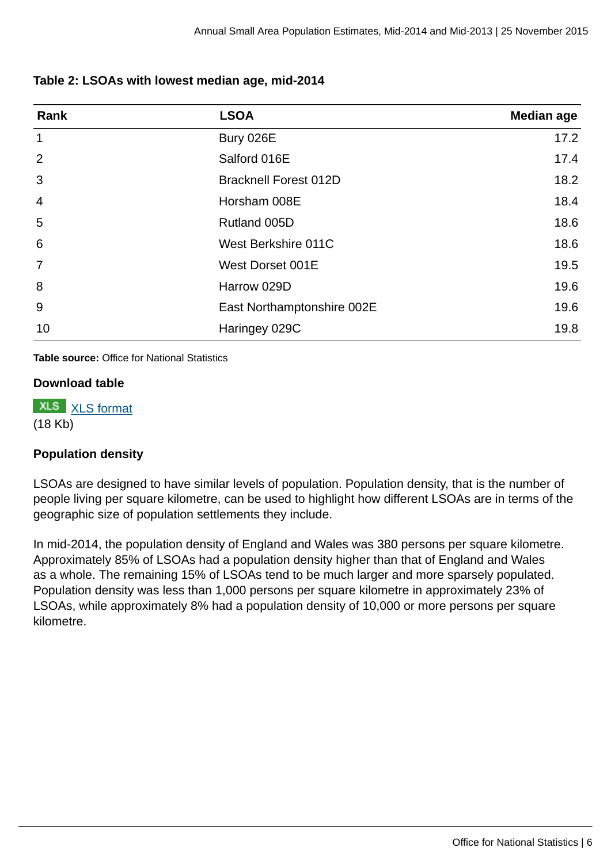#### **Table 2: LSOAs with lowest median age, mid-2014**

| Rank            | <b>LSOA</b>                  | Median age |
|-----------------|------------------------------|------------|
| $\mathbf{1}$    | Bury 026E                    | 17.2       |
| 2               | Salford 016E                 | 17.4       |
| 3               | <b>Bracknell Forest 012D</b> | 18.2       |
| $\overline{4}$  | Horsham 008E                 | 18.4       |
| 5               | Rutland 005D                 | 18.6       |
| $6\phantom{1}6$ | West Berkshire 011C          | 18.6       |
| $\overline{7}$  | West Dorset 001E             | 19.5       |
| 8               | Harrow 029D                  | 19.6       |
| 9               | East Northamptonshire 002E   | 19.6       |
| 10              | Haringey 029C                | 19.8       |

**Table source:** Office for National Statistics

#### **Download table**

**XLS** [XLS format](http://www.ons.gov.uk:80/ons/rel/sape/small-area-population-estimates/mid-2014-and-mid-2013/prt-table-2.xls) (18 Kb)

#### **Population density**

LSOAs are designed to have similar levels of population. Population density, that is the number of people living per square kilometre, can be used to highlight how different LSOAs are in terms of the geographic size of population settlements they include.

In mid-2014, the population density of England and Wales was 380 persons per square kilometre. Approximately 85% of LSOAs had a population density higher than that of England and Wales as a whole. The remaining 15% of LSOAs tend to be much larger and more sparsely populated. Population density was less than 1,000 persons per square kilometre in approximately 23% of LSOAs, while approximately 8% had a population density of 10,000 or more persons per square kilometre.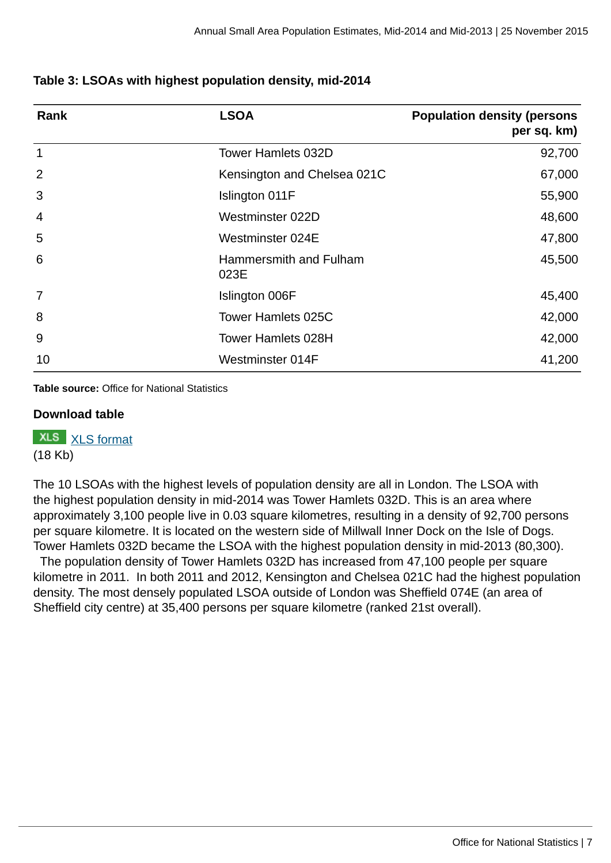| Rank            | <b>LSOA</b>                    | <b>Population density (persons</b><br>per sq. km) |
|-----------------|--------------------------------|---------------------------------------------------|
| 1               | <b>Tower Hamlets 032D</b>      | 92,700                                            |
| $\overline{2}$  | Kensington and Chelsea 021C    | 67,000                                            |
| 3               | Islington 011F                 | 55,900                                            |
| $\overline{4}$  | Westminster 022D               | 48,600                                            |
| 5               | Westminster 024E               | 47,800                                            |
| $6\phantom{1}6$ | Hammersmith and Fulham<br>023E | 45,500                                            |
| 7               | Islington 006F                 | 45,400                                            |
| 8               | <b>Tower Hamlets 025C</b>      | 42,000                                            |
| 9               | <b>Tower Hamlets 028H</b>      | 42,000                                            |
| 10              | Westminster 014F               | 41,200                                            |

#### **Table 3: LSOAs with highest population density, mid-2014**

**Table source:** Office for National Statistics

#### **Download table**

**XLS** [XLS format](http://www.ons.gov.uk:80/ons/rel/sape/small-area-population-estimates/mid-2014-and-mid-2013/prt-table-3.xls) (18 Kb)

The 10 LSOAs with the highest levels of population density are all in London. The LSOA with the highest population density in mid-2014 was Tower Hamlets 032D. This is an area where approximately 3,100 people live in 0.03 square kilometres, resulting in a density of 92,700 persons per square kilometre. It is located on the western side of Millwall Inner Dock on the Isle of Dogs. Tower Hamlets 032D became the LSOA with the highest population density in mid-2013 (80,300).

 The population density of Tower Hamlets 032D has increased from 47,100 people per square kilometre in 2011. In both 2011 and 2012, Kensington and Chelsea 021C had the highest population density. The most densely populated LSOA outside of London was Sheffield 074E (an area of Sheffield city centre) at 35,400 persons per square kilometre (ranked 21st overall).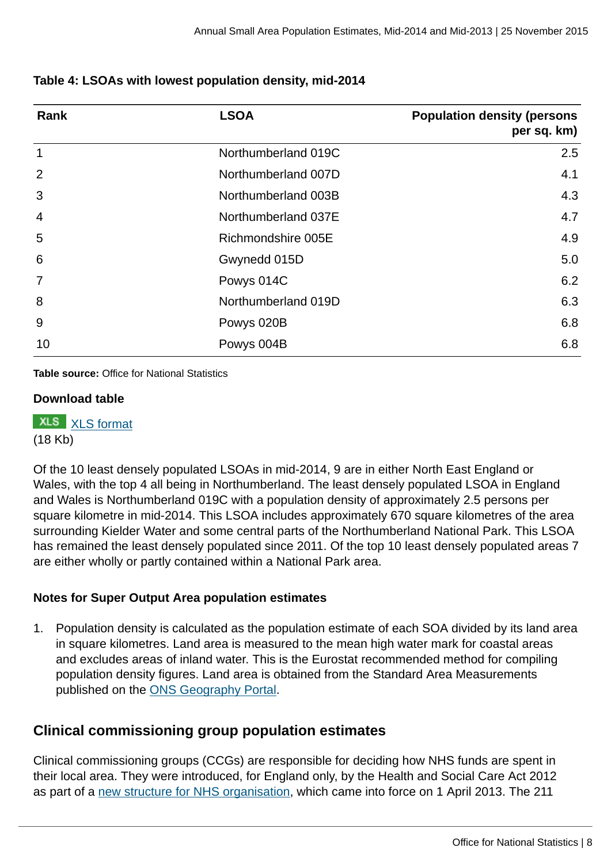#### **Table 4: LSOAs with lowest population density, mid-2014**

| Rank           | <b>LSOA</b>         | <b>Population density (persons)</b><br>per sq. km) |
|----------------|---------------------|----------------------------------------------------|
| $\mathbf 1$    | Northumberland 019C | 2.5                                                |
| 2              | Northumberland 007D | 4.1                                                |
| 3              | Northumberland 003B | 4.3                                                |
| $\overline{4}$ | Northumberland 037E | 4.7                                                |
| 5              | Richmondshire 005E  | 4.9                                                |
| 6              | Gwynedd 015D        | 5.0                                                |
| $\overline{7}$ | Powys 014C          | 6.2                                                |
| 8              | Northumberland 019D | 6.3                                                |
| 9              | Powys 020B          | 6.8                                                |
| 10             | Powys 004B          | 6.8                                                |

**Table source:** Office for National Statistics

#### **Download table**

**XLS** [XLS format](http://www.ons.gov.uk:80/ons/rel/sape/small-area-population-estimates/mid-2014-and-mid-2013/prt-table-4.xls) (18 Kb)

Of the 10 least densely populated LSOAs in mid-2014, 9 are in either North East England or Wales, with the top 4 all being in Northumberland. The least densely populated LSOA in England and Wales is Northumberland 019C with a population density of approximately 2.5 persons per square kilometre in mid-2014. This LSOA includes approximately 670 square kilometres of the area surrounding Kielder Water and some central parts of the Northumberland National Park. This LSOA has remained the least densely populated since 2011. Of the top 10 least densely populated areas 7 are either wholly or partly contained within a National Park area.

#### **Notes for Super Output Area population estimates**

1. Population density is calculated as the population estimate of each SOA divided by its land area in square kilometres. Land area is measured to the mean high water mark for coastal areas and excludes areas of inland water. This is the Eurostat recommended method for compiling population density figures. Land area is obtained from the Standard Area Measurements published on the [ONS Geography Portal](https://geoportal.statistics.gov.uk/geoportal/catalog/main/home.page).

## **Clinical commissioning group population estimates**

Clinical commissioning groups (CCGs) are responsible for deciding how NHS funds are spent in their local area. They were introduced, for England only, by the Health and Social Care Act 2012 as part of a [new structure for NHS organisation](https://www.gov.uk/government/policies/making-the-nhs-more-efficient-and-less-bureaucratic/supporting-pages/nhs-management-and-commissioning), which came into force on 1 April 2013. The 211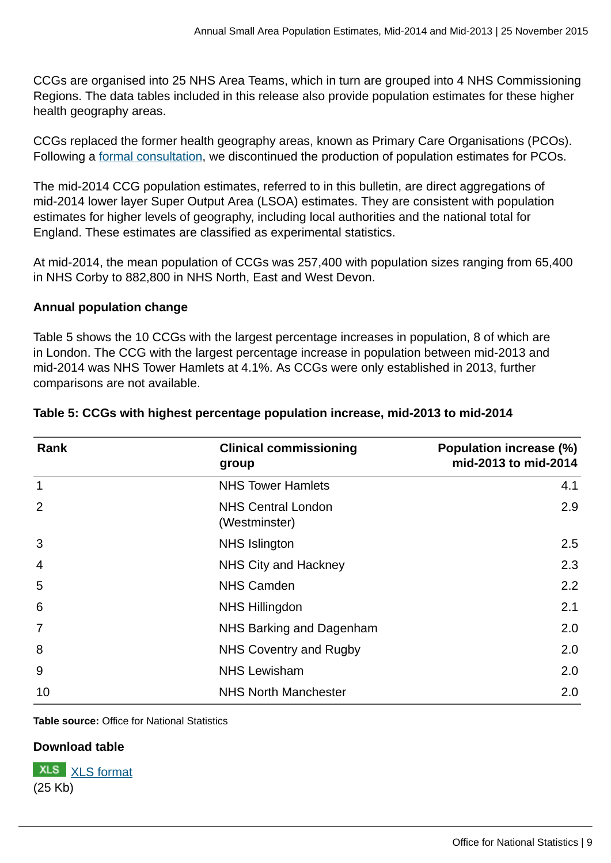CCGs are organised into 25 NHS Area Teams, which in turn are grouped into 4 NHS Commissioning Regions. The data tables included in this release also provide population estimates for these higher health geography areas.

CCGs replaced the former health geography areas, known as Primary Care Organisations (PCOs). Following a [formal consultation](http://www.ons.gov.uk:80/ons/about-ons/get-involved/consultations-and-user-surveys/consultations/small-area-population-estimates/index.html), we discontinued the production of population estimates for PCOs.

The mid-2014 CCG population estimates, referred to in this bulletin, are direct aggregations of mid-2014 lower layer Super Output Area (LSOA) estimates. They are consistent with population estimates for higher levels of geography, including local authorities and the national total for England. These estimates are classified as experimental statistics.

At mid-2014, the mean population of CCGs was 257,400 with population sizes ranging from 65,400 in NHS Corby to 882,800 in NHS North, East and West Devon.

#### **Annual population change**

Table 5 shows the 10 CCGs with the largest percentage increases in population, 8 of which are in London. The CCG with the largest percentage increase in population between mid-2013 and mid-2014 was NHS Tower Hamlets at 4.1%. As CCGs were only established in 2013, further comparisons are not available.

| Rank | <b>Clinical commissioning</b><br>group     | Population increase (%)<br>mid-2013 to mid-2014 |
|------|--------------------------------------------|-------------------------------------------------|
| 1    | <b>NHS Tower Hamlets</b>                   | 4.1                                             |
| 2    | <b>NHS Central London</b><br>(Westminster) | 2.9                                             |
| 3    | <b>NHS Islington</b>                       | 2.5                                             |
| 4    | NHS City and Hackney                       | 2.3                                             |
| 5    | <b>NHS Camden</b>                          | 2.2                                             |
| 6    | <b>NHS Hillingdon</b>                      | 2.1                                             |
|      | NHS Barking and Dagenham                   | 2.0                                             |
| 8    | NHS Coventry and Rugby                     | 2.0                                             |
| 9    | <b>NHS Lewisham</b>                        | 2.0                                             |
| 10   | <b>NHS North Manchester</b>                | 2.0                                             |

#### **Table 5: CCGs with highest percentage population increase, mid-2013 to mid-2014**

**Table source:** Office for National Statistics

#### **Download table**

**XLS** [XLS format](http://www.ons.gov.uk:80/ons/rel/sape/small-area-population-estimates/mid-2014-and-mid-2013/prt-table-5.xls) (25 Kb)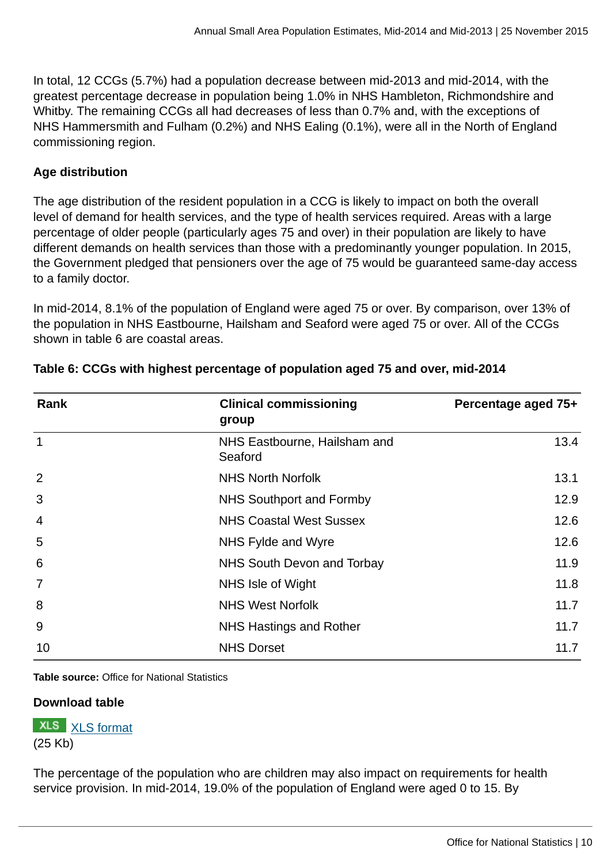In total, 12 CCGs (5.7%) had a population decrease between mid-2013 and mid-2014, with the greatest percentage decrease in population being 1.0% in NHS Hambleton, Richmondshire and Whitby. The remaining CCGs all had decreases of less than 0.7% and, with the exceptions of NHS Hammersmith and Fulham (0.2%) and NHS Ealing (0.1%), were all in the North of England commissioning region.

#### **Age distribution**

The age distribution of the resident population in a CCG is likely to impact on both the overall level of demand for health services, and the type of health services required. Areas with a large percentage of older people (particularly ages 75 and over) in their population are likely to have different demands on health services than those with a predominantly younger population. In 2015, the Government pledged that pensioners over the age of 75 would be guaranteed same-day access to a family doctor.

In mid-2014, 8.1% of the population of England were aged 75 or over. By comparison, over 13% of the population in NHS Eastbourne, Hailsham and Seaford were aged 75 or over. All of the CCGs shown in table 6 are coastal areas.

| Rank           | <b>Clinical commissioning</b><br>group  | Percentage aged 75+ |  |
|----------------|-----------------------------------------|---------------------|--|
| $\mathbf{1}$   | NHS Eastbourne, Hailsham and<br>Seaford | 13.4                |  |
| 2              | <b>NHS North Norfolk</b>                | 13.1                |  |
| 3              | NHS Southport and Formby                | 12.9                |  |
| $\overline{4}$ | <b>NHS Coastal West Sussex</b>          | 12.6                |  |
| 5              | NHS Fylde and Wyre                      | 12.6                |  |
| 6              | NHS South Devon and Torbay              | 11.9                |  |
| $\overline{7}$ | NHS Isle of Wight                       | 11.8                |  |
| 8              | <b>NHS West Norfolk</b>                 | 11.7                |  |
| 9              | NHS Hastings and Rother                 | 11.7                |  |
| 10             | <b>NHS Dorset</b>                       | 11.7                |  |

#### **Table 6: CCGs with highest percentage of population aged 75 and over, mid-2014**

**Table source:** Office for National Statistics

#### **Download table**

**XLS** [XLS format](http://www.ons.gov.uk:80/ons/rel/sape/small-area-population-estimates/mid-2014-and-mid-2013/prt-table-6.xls) (25 Kb)

The percentage of the population who are children may also impact on requirements for health service provision. In mid-2014, 19.0% of the population of England were aged 0 to 15. By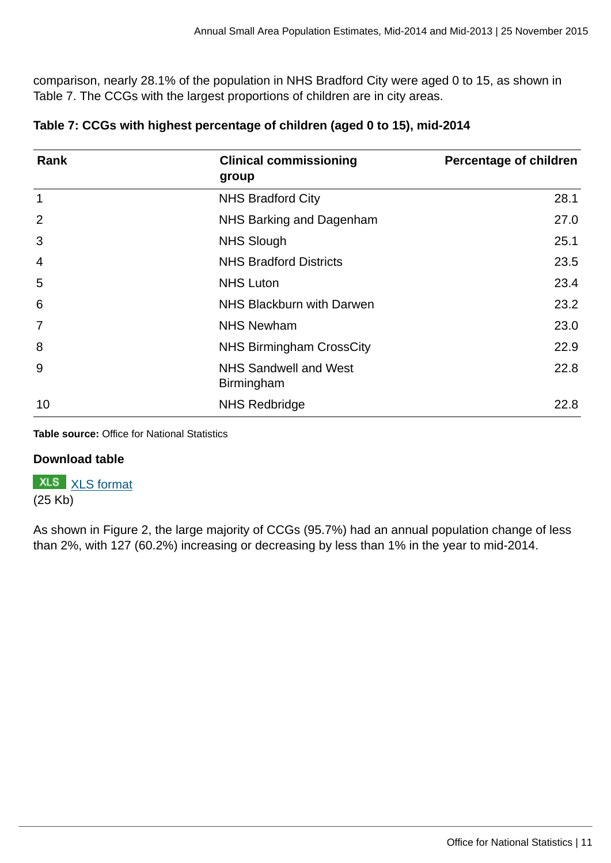comparison, nearly 28.1% of the population in NHS Bradford City were aged 0 to 15, as shown in Table 7. The CCGs with the largest proportions of children are in city areas.

| Rank           | <b>Clinical commissioning</b><br>group | <b>Percentage of children</b> |
|----------------|----------------------------------------|-------------------------------|
| $\mathbf{1}$   | <b>NHS Bradford City</b>               | 28.1                          |
| 2              | NHS Barking and Dagenham               | 27.0                          |
| 3              | <b>NHS Slough</b>                      | 25.1                          |
| 4              | <b>NHS Bradford Districts</b>          | 23.5                          |
| 5              | <b>NHS Luton</b>                       | 23.4                          |
| 6              | NHS Blackburn with Darwen              | 23.2                          |
| $\overline{7}$ | <b>NHS Newham</b>                      | 23.0                          |
| 8              | <b>NHS Birmingham CrossCity</b>        | 22.9                          |
| 9              | NHS Sandwell and West<br>Birmingham    | 22.8                          |
| 10             | <b>NHS Redbridge</b>                   | 22.8                          |

| Table 7: CCGs with highest percentage of children (aged 0 to 15), mid-2014 |  |  |  |
|----------------------------------------------------------------------------|--|--|--|
|                                                                            |  |  |  |

**Table source:** Office for National Statistics

#### **Download table**

**XLS** [XLS format](http://www.ons.gov.uk:80/ons/rel/sape/small-area-population-estimates/mid-2014-and-mid-2013/prt-table-7.xls) (25 Kb)

As shown in Figure 2, the large majority of CCGs (95.7%) had an annual population change of less than 2%, with 127 (60.2%) increasing or decreasing by less than 1% in the year to mid-2014.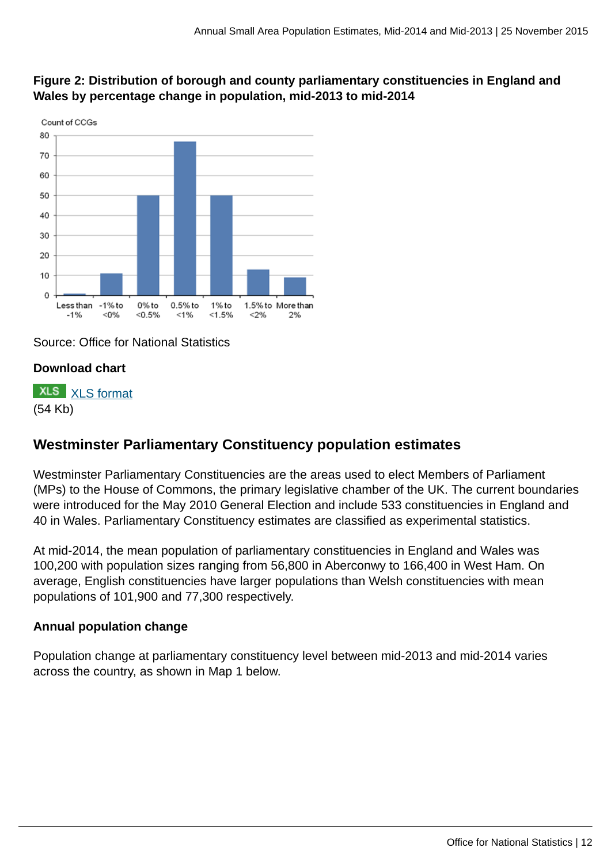

## **Figure 2: Distribution of borough and county parliamentary constituencies in England and Wales by percentage change in population, mid-2013 to mid-2014**

Source: Office for National Statistics

#### **Download chart**

**XLS** [XLS format](http://www.ons.gov.uk:80/ons/rel/sape/small-area-population-estimates/mid-2014-and-mid-2013/chd-figure-2.xls) (54 Kb)

# **Westminster Parliamentary Constituency population estimates**

Westminster Parliamentary Constituencies are the areas used to elect Members of Parliament (MPs) to the House of Commons, the primary legislative chamber of the UK. The current boundaries were introduced for the May 2010 General Election and include 533 constituencies in England and 40 in Wales. Parliamentary Constituency estimates are classified as experimental statistics.

At mid-2014, the mean population of parliamentary constituencies in England and Wales was 100,200 with population sizes ranging from 56,800 in Aberconwy to 166,400 in West Ham. On average, English constituencies have larger populations than Welsh constituencies with mean populations of 101,900 and 77,300 respectively.

#### **Annual population change**

Population change at parliamentary constituency level between mid-2013 and mid-2014 varies across the country, as shown in Map 1 below.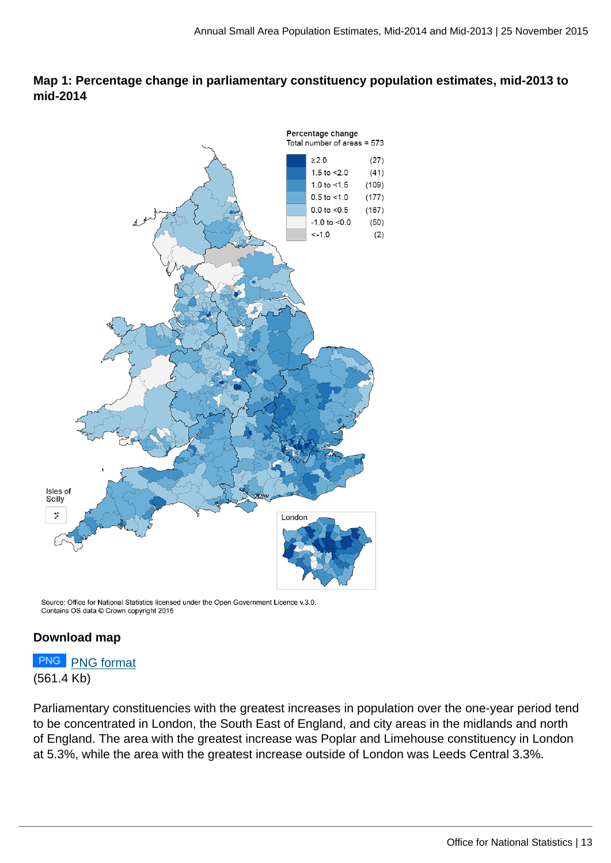#### **Map 1: Percentage change in parliamentary constituency population estimates, mid-2013 to mid-2014**



Source: Office for National Statistics licensed under the Open Government Licence v.3.0. Contains OS data @ Crown copyright 2015

#### **Download map**



Parliamentary constituencies with the greatest increases in population over the one-year period tend to be concentrated in London, the South East of England, and city areas in the midlands and north of England. The area with the greatest increase was Poplar and Limehouse constituency in London at 5.3%, while the area with the greatest increase outside of London was Leeds Central 3.3%.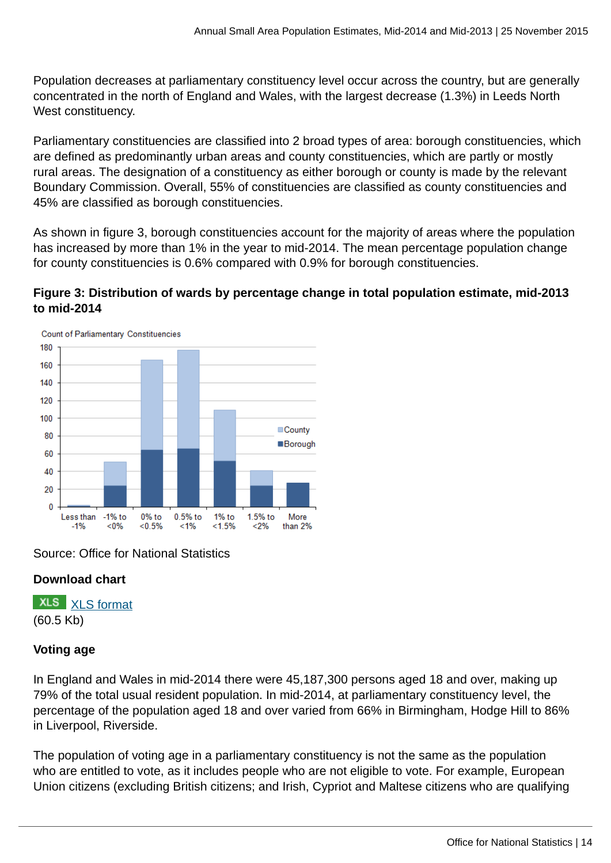Population decreases at parliamentary constituency level occur across the country, but are generally concentrated in the north of England and Wales, with the largest decrease (1.3%) in Leeds North West constituency.

Parliamentary constituencies are classified into 2 broad types of area: borough constituencies, which are defined as predominantly urban areas and county constituencies, which are partly or mostly rural areas. The designation of a constituency as either borough or county is made by the relevant Boundary Commission. Overall, 55% of constituencies are classified as county constituencies and 45% are classified as borough constituencies.

As shown in figure 3, borough constituencies account for the majority of areas where the population has increased by more than 1% in the year to mid-2014. The mean percentage population change for county constituencies is 0.6% compared with 0.9% for borough constituencies.

#### **Figure 3: Distribution of wards by percentage change in total population estimate, mid-2013 to mid-2014**



Source: Office for National Statistics

#### **Download chart**

**XLS** [XLS format](http://www.ons.gov.uk:80/ons/rel/sape/small-area-population-estimates/mid-2014-and-mid-2013/chd-figure-3.xls) (60.5 Kb)

#### **Voting age**

In England and Wales in mid-2014 there were 45,187,300 persons aged 18 and over, making up 79% of the total usual resident population. In mid-2014, at parliamentary constituency level, the percentage of the population aged 18 and over varied from 66% in Birmingham, Hodge Hill to 86% in Liverpool, Riverside.

The population of voting age in a parliamentary constituency is not the same as the population who are entitled to vote, as it includes people who are not eligible to vote. For example, European Union citizens (excluding British citizens; and Irish, Cypriot and Maltese citizens who are qualifying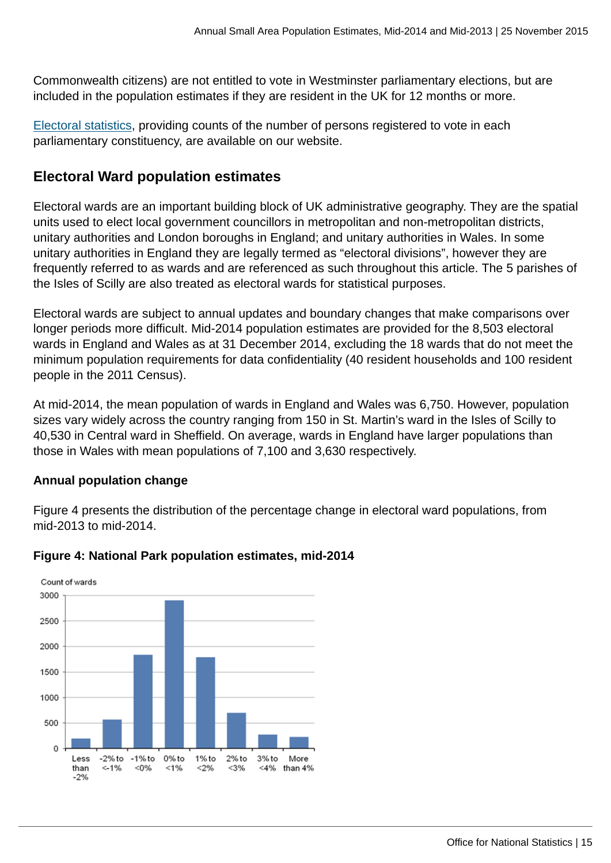Commonwealth citizens) are not entitled to vote in Westminster parliamentary elections, but are included in the population estimates if they are resident in the UK for 12 months or more.

[Electoral statistics](http://www.ons.gov.uk:80/ons/rel/pop-estimate/electoral-statistics-for-uk/2014/index.html), providing counts of the number of persons registered to vote in each parliamentary constituency, are available on our website.

## **Electoral Ward population estimates**

Electoral wards are an important building block of UK administrative geography. They are the spatial units used to elect local government councillors in metropolitan and non-metropolitan districts, unitary authorities and London boroughs in England; and unitary authorities in Wales. In some unitary authorities in England they are legally termed as "electoral divisions", however they are frequently referred to as wards and are referenced as such throughout this article. The 5 parishes of the Isles of Scilly are also treated as electoral wards for statistical purposes.

Electoral wards are subject to annual updates and boundary changes that make comparisons over longer periods more difficult. Mid-2014 population estimates are provided for the 8,503 electoral wards in England and Wales as at 31 December 2014, excluding the 18 wards that do not meet the minimum population requirements for data confidentiality (40 resident households and 100 resident people in the 2011 Census).

At mid-2014, the mean population of wards in England and Wales was 6,750. However, population sizes vary widely across the country ranging from 150 in St. Martin's ward in the Isles of Scilly to 40,530 in Central ward in Sheffield. On average, wards in England have larger populations than those in Wales with mean populations of 7,100 and 3,630 respectively.

#### **Annual population change**

Figure 4 presents the distribution of the percentage change in electoral ward populations, from mid-2013 to mid-2014.



#### **Figure 4: National Park population estimates, mid-2014**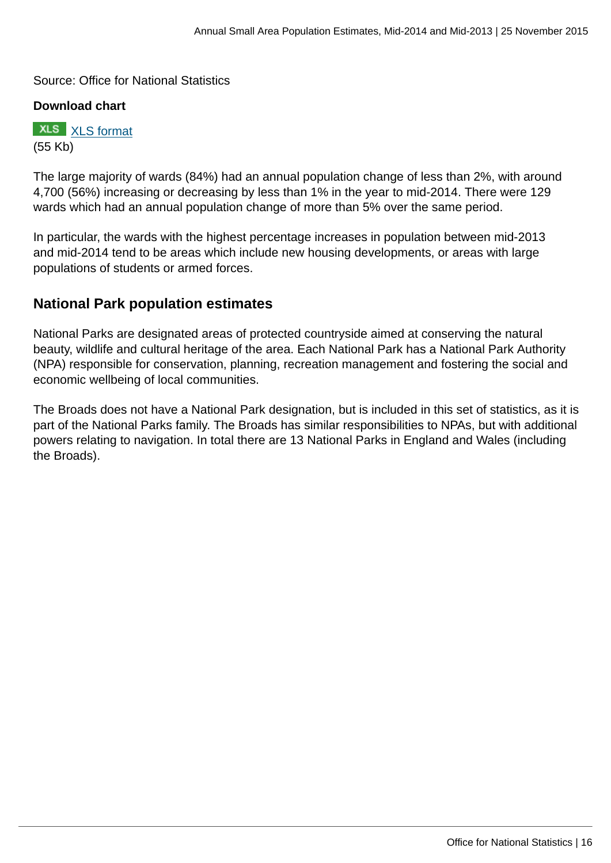Source: Office for National Statistics

#### **Download chart**

**XLS** [XLS format](http://www.ons.gov.uk:80/ons/rel/sape/small-area-population-estimates/mid-2014-and-mid-2013/chd-figure-4.xls) (55 Kb)

The large majority of wards (84%) had an annual population change of less than 2%, with around 4,700 (56%) increasing or decreasing by less than 1% in the year to mid-2014. There were 129 wards which had an annual population change of more than 5% over the same period.

In particular, the wards with the highest percentage increases in population between mid-2013 and mid-2014 tend to be areas which include new housing developments, or areas with large populations of students or armed forces.

## **National Park population estimates**

National Parks are designated areas of protected countryside aimed at conserving the natural beauty, wildlife and cultural heritage of the area. Each National Park has a National Park Authority (NPA) responsible for conservation, planning, recreation management and fostering the social and economic wellbeing of local communities.

The Broads does not have a National Park designation, but is included in this set of statistics, as it is part of the National Parks family. The Broads has similar responsibilities to NPAs, but with additional powers relating to navigation. In total there are 13 National Parks in England and Wales (including the Broads).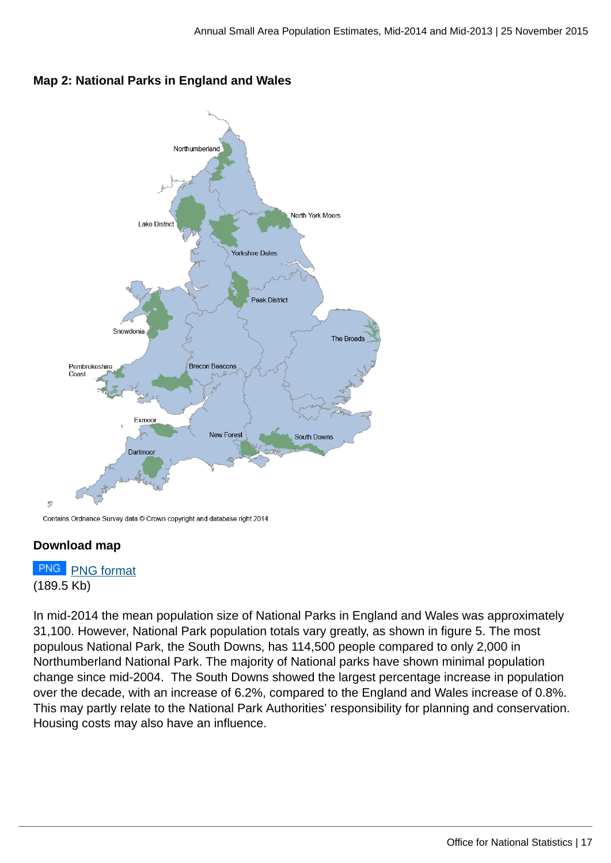



Contains Ordnance Survey data © Crown copyright and database right 2014

#### **Download map**

# **PNG** [PNG format](http://www.ons.gov.uk:80/ons/rel/sape/small-area-population-estimates/mid-2014-and-mid-2013/map-2-dl.png) (189.5 Kb)

In mid-2014 the mean population size of National Parks in England and Wales was approximately 31,100. However, National Park population totals vary greatly, as shown in figure 5. The most populous National Park, the South Downs, has 114,500 people compared to only 2,000 in Northumberland National Park. The majority of National parks have shown minimal population change since mid-2004. The South Downs showed the largest percentage increase in population over the decade, with an increase of 6.2%, compared to the England and Wales increase of 0.8%. This may partly relate to the National Park Authorities' responsibility for planning and conservation. Housing costs may also have an influence.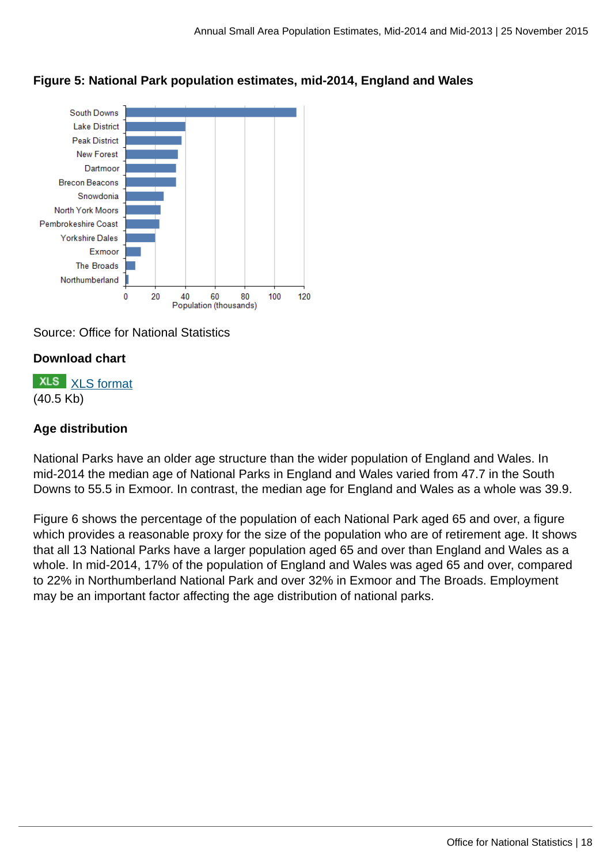

#### **Figure 5: National Park population estimates, mid-2014, England and Wales**

Source: Office for National Statistics

#### **Download chart**

**XLS** [XLS format](http://www.ons.gov.uk:80/ons/rel/sape/small-area-population-estimates/mid-2014-and-mid-2013/chd-figure-5.xls) (40.5 Kb)

#### **Age distribution**

National Parks have an older age structure than the wider population of England and Wales. In mid-2014 the median age of National Parks in England and Wales varied from 47.7 in the South Downs to 55.5 in Exmoor. In contrast, the median age for England and Wales as a whole was 39.9.

Figure 6 shows the percentage of the population of each National Park aged 65 and over, a figure which provides a reasonable proxy for the size of the population who are of retirement age. It shows that all 13 National Parks have a larger population aged 65 and over than England and Wales as a whole. In mid-2014, 17% of the population of England and Wales was aged 65 and over, compared to 22% in Northumberland National Park and over 32% in Exmoor and The Broads. Employment may be an important factor affecting the age distribution of national parks.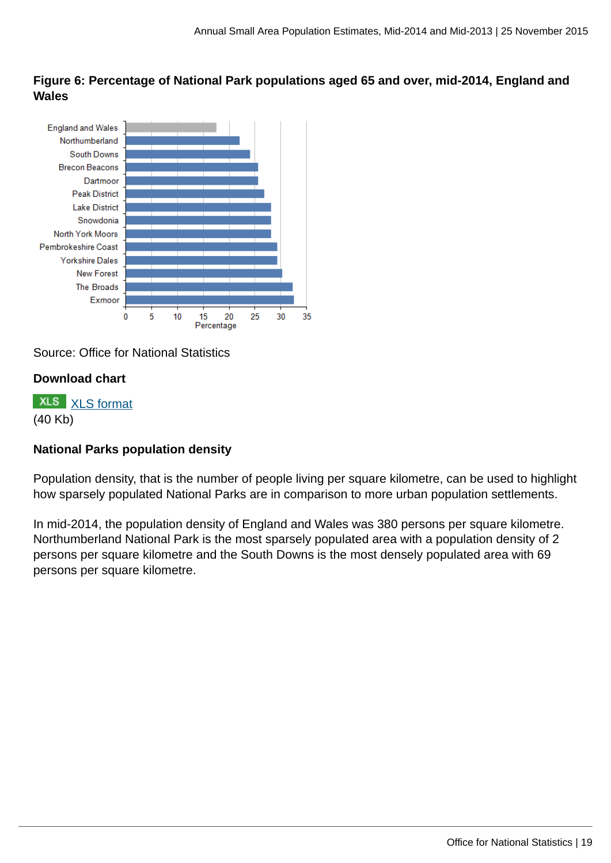**Figure 6: Percentage of National Park populations aged 65 and over, mid-2014, England and Wales**



Source: Office for National Statistics

#### **Download chart**

**XLS** [XLS format](http://www.ons.gov.uk:80/ons/rel/sape/small-area-population-estimates/mid-2014-and-mid-2013/chd-figure-6.xls) (40 Kb)

#### **National Parks population density**

Population density, that is the number of people living per square kilometre, can be used to highlight how sparsely populated National Parks are in comparison to more urban population settlements.

In mid-2014, the population density of England and Wales was 380 persons per square kilometre. Northumberland National Park is the most sparsely populated area with a population density of 2 persons per square kilometre and the South Downs is the most densely populated area with 69 persons per square kilometre.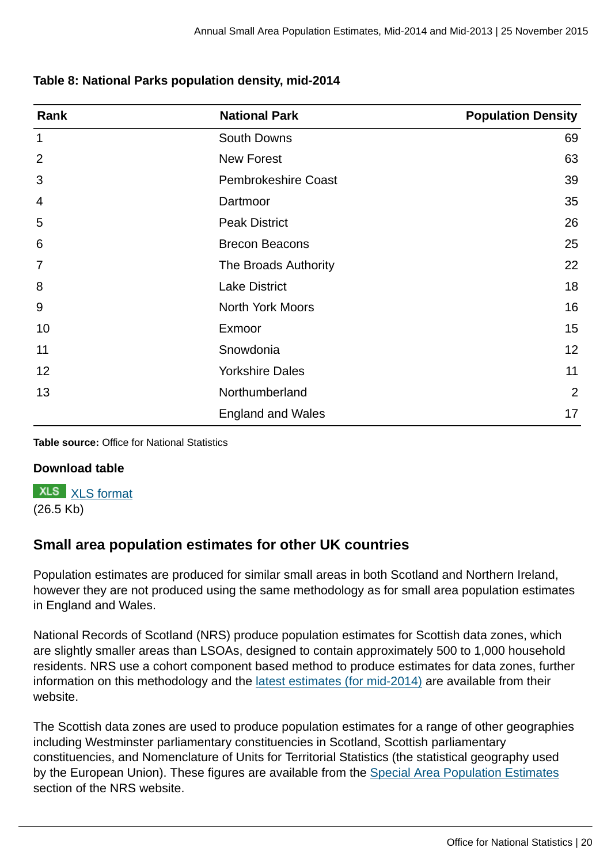#### **Table 8: National Parks population density, mid-2014**

| Rank           | <b>National Park</b>       | <b>Population Density</b> |
|----------------|----------------------------|---------------------------|
| $\mathbf 1$    | South Downs                | 69                        |
| $\overline{2}$ | <b>New Forest</b>          | 63                        |
| 3              | <b>Pembrokeshire Coast</b> | 39                        |
| 4              | Dartmoor                   | 35                        |
| 5              | <b>Peak District</b>       | 26                        |
| 6              | <b>Brecon Beacons</b>      | 25                        |
| 7              | The Broads Authority       | 22                        |
| 8              | <b>Lake District</b>       | 18                        |
| 9              | North York Moors           | 16                        |
| 10             | Exmoor                     | 15                        |
| 11             | Snowdonia                  | 12                        |
| 12             | <b>Yorkshire Dales</b>     | 11                        |
| 13             | Northumberland             | $\overline{2}$            |
|                | <b>England and Wales</b>   | 17                        |

**Table source:** Office for National Statistics

#### **Download table**

**XLS** [XLS format](http://www.ons.gov.uk:80/ons/rel/sape/small-area-population-estimates/mid-2014-and-mid-2013/prt-table-8.xls) (26.5 Kb)

## **Small area population estimates for other UK countries**

Population estimates are produced for similar small areas in both Scotland and Northern Ireland, however they are not produced using the same methodology as for small area population estimates in England and Wales.

National Records of Scotland (NRS) produce population estimates for Scottish data zones, which are slightly smaller areas than LSOAs, designed to contain approximately 500 to 1,000 household residents. NRS use a cohort component based method to produce estimates for data zones, further information on this methodology and the [latest estimates \(for mid-2014\)](http://www.nrscotland.gov.uk/statistics-and-data/statistics/statistics-by-theme/population/population-estimates/2011-based-special-area-population-estimates/small-area-population-estimates/mid-2011-to-mid-2014) are available from their website.

The Scottish data zones are used to produce population estimates for a range of other geographies including Westminster parliamentary constituencies in Scotland, Scottish parliamentary constituencies, and Nomenclature of Units for Territorial Statistics (the statistical geography used by the European Union). These figures are available from the [Special Area Population Estimates](http://www.nrscotland.gov.uk/statistics-and-data/statistics/statistics-by-theme/population/population-estimates/2011-based-special-area-population-estimates/small-area-population-estimates/mid-2011-to-mid-2014) section of the NRS website.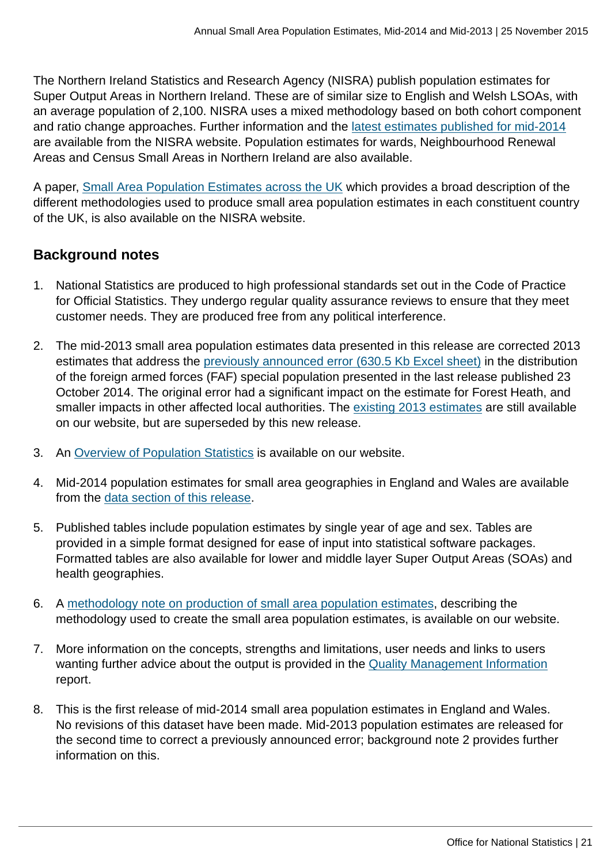The Northern Ireland Statistics and Research Agency (NISRA) publish population estimates for Super Output Areas in Northern Ireland. These are of similar size to English and Welsh LSOAs, with an average population of 2,100. NISRA uses a mixed methodology based on both cohort component and ratio change approaches. Further information and the [latest estimates published for mid-2014](http://www.nisra.gov.uk/demography/default.asp125.htm) are available from the NISRA website. Population estimates for wards, Neighbourhood Renewal Areas and Census Small Areas in Northern Ireland are also available.

A paper, [Small Area Population Estimates across the UK](http://www.nisra.gov.uk/archive/demography/population/small_area/UK_SAPE_Dec_2011.pdf) which provides a broad description of the different methodologies used to produce small area population estimates in each constituent country of the UK, is also available on the NISRA website.

## **Background notes**

- 1. National Statistics are produced to high professional standards set out in the Code of Practice for Official Statistics. They undergo regular quality assurance reviews to ensure that they meet customer needs. They are produced free from any political interference.
- 2. The mid-2013 small area population estimates data presented in this release are corrected 2013 estimates that address the [previously announced error \(630.5 Kb Excel sheet\)](http://www.ons.gov.uk:80/ons/about-ons/business-transparency/freedom-of-information/what-can-i-request/published-ad-hoc-data/pop/january-2015/effect-of-processing-error-on-mid-2013-population-estimates.xls) in the distribution of the foreign armed forces (FAF) special population presented in the last release published 23 October 2014. The original error had a significant impact on the estimate for Forest Heath, and smaller impacts in other affected local authorities. The [existing 2013 estimates](http://www.ons.gov.uk:80/ons/rel/sape/small-area-population-estimates/mid-2013/index.html) are still available on our website, but are superseded by this new release.
- 3. An [Overview of Population Statistics](http://www.ons.gov.uk:80/ons/rel/pop-estimate/overview-of-the-uk-population/november-2015/rpt-population-quarterly-short-story.html) is available on our website.
- 4. Mid-2014 population estimates for small area geographies in England and Wales are available from the [data section of this release](http://www.ons.gov.uk/ons/publications/re-reference-tables.html?edition=tcm%3A77-395002).
- 5. Published tables include population estimates by single year of age and sex. Tables are provided in a simple format designed for ease of input into statistical software packages. Formatted tables are also available for lower and middle layer Super Output Areas (SOAs) and health geographies.
- 6. A [methodology note on production of small area population estimates](http://www.ons.gov.uk:80/ons/guide-method/method-quality/specific/population-and-migration/pop-ests/index.html), describing the methodology used to create the small area population estimates, is available on our website.
- 7. More information on the concepts, strengths and limitations, user needs and links to users wanting further advice about the output is provided in the [Quality Management Information](http://www.ons.gov.uk:80/ons/guide-method/method-quality/quality/quality-information/population/index.html) report.
- 8. This is the first release of mid-2014 small area population estimates in England and Wales. No revisions of this dataset have been made. Mid-2013 population estimates are released for the second time to correct a previously announced error; background note 2 provides further information on this.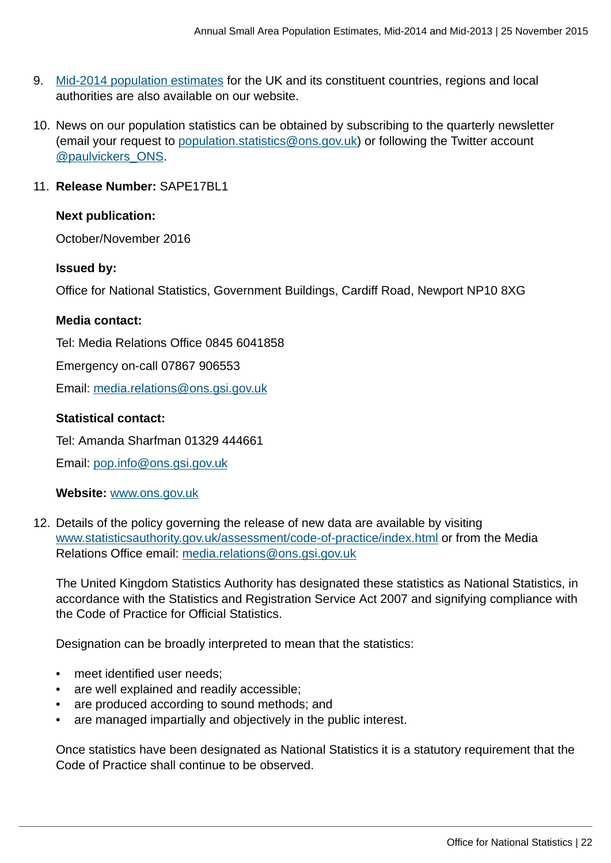- 9. [Mid-2014 population estimates](http://www.ons.gov.uk:80/ons/rel/pop-estimate/population-estimates-for-uk--england-and-wales--scotland-and-northern-ireland/mid-2014/index.html) for the UK and its constituent countries, regions and local authorities are also available on our website.
- 10. News on our population statistics can be obtained by subscribing to the quarterly newsletter (email your request to [population.statistics@ons.gov.uk\)](mailto:population.statistics@ons.gov.uk) or following the Twitter account [@paulvickers\\_ONS](https://twitter.com/paulvickers_ons).

#### 11. **Release Number:** SAPE17BL1

#### **Next publication:**

October/November 2016

#### **Issued by:**

Office for National Statistics, Government Buildings, Cardiff Road, Newport NP10 8XG

#### **Media contact:**

Tel: Media Relations Office 0845 6041858

Emergency on-call 07867 906553

Email: [media.relations@ons.gsi.gov.uk](mailto:media.relations@ons.gsi.gov.uk)

#### **Statistical contact:**

Tel: Amanda Sharfman 01329 444661

Email: [pop.info@ons.gsi.gov.uk](mailto:pop.info@ons.gsi.gov.uk)

#### **Website:** [www.ons.gov.uk](http://www.ons.gov.uk)

12. Details of the policy governing the release of new data are available by visiting [www.statisticsauthority.gov.uk/assessment/code-of-practice/index.html](http://www.statisticsauthority.gov.uk/assessment/code-of-practice/index.html) or from the Media Relations Office email: [media.relations@ons.gsi.gov.uk](mailto:media.relations@ons.gsi.gov.uk)

The United Kingdom Statistics Authority has designated these statistics as National Statistics, in accordance with the Statistics and Registration Service Act 2007 and signifying compliance with the Code of Practice for Official Statistics.

Designation can be broadly interpreted to mean that the statistics:

- meet identified user needs;
- are well explained and readily accessible;
- are produced according to sound methods; and
- are managed impartially and objectively in the public interest.

Once statistics have been designated as National Statistics it is a statutory requirement that the Code of Practice shall continue to be observed.